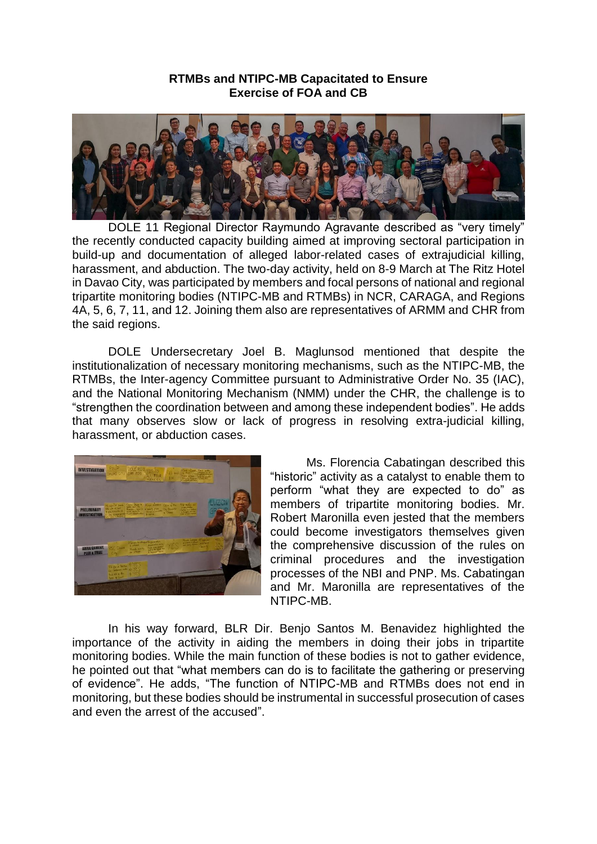## **RTMBs and NTIPC-MB Capacitated to Ensure Exercise of FOA and CB**



DOLE 11 Regional Director Raymundo Agravante described as "very timely" the recently conducted capacity building aimed at improving sectoral participation in build-up and documentation of alleged labor-related cases of extrajudicial killing, harassment, and abduction. The two-day activity, held on 8-9 March at The Ritz Hotel in Davao City, was participated by members and focal persons of national and regional tripartite monitoring bodies (NTIPC-MB and RTMBs) in NCR, CARAGA, and Regions 4A, 5, 6, 7, 11, and 12. Joining them also are representatives of ARMM and CHR from the said regions.

DOLE Undersecretary Joel B. Maglunsod mentioned that despite the institutionalization of necessary monitoring mechanisms, such as the NTIPC-MB, the RTMBs, the Inter-agency Committee pursuant to Administrative Order No. 35 (IAC), and the National Monitoring Mechanism (NMM) under the CHR, the challenge is to "strengthen the coordination between and among these independent bodies". He adds that many observes slow or lack of progress in resolving extra-judicial killing, harassment, or abduction cases.



Ms. Florencia Cabatingan described this "historic" activity as a catalyst to enable them to perform "what they are expected to do" as members of tripartite monitoring bodies. Mr. Robert Maronilla even jested that the members could become investigators themselves given the comprehensive discussion of the rules on criminal procedures and the investigation processes of the NBI and PNP. Ms. Cabatingan and Mr. Maronilla are representatives of the NTIPC-MB.

In his way forward, BLR Dir. Benjo Santos M. Benavidez highlighted the importance of the activity in aiding the members in doing their jobs in tripartite monitoring bodies. While the main function of these bodies is not to gather evidence, he pointed out that "what members can do is to facilitate the gathering or preserving of evidence". He adds, "The function of NTIPC-MB and RTMBs does not end in monitoring, but these bodies should be instrumental in successful prosecution of cases and even the arrest of the accused".